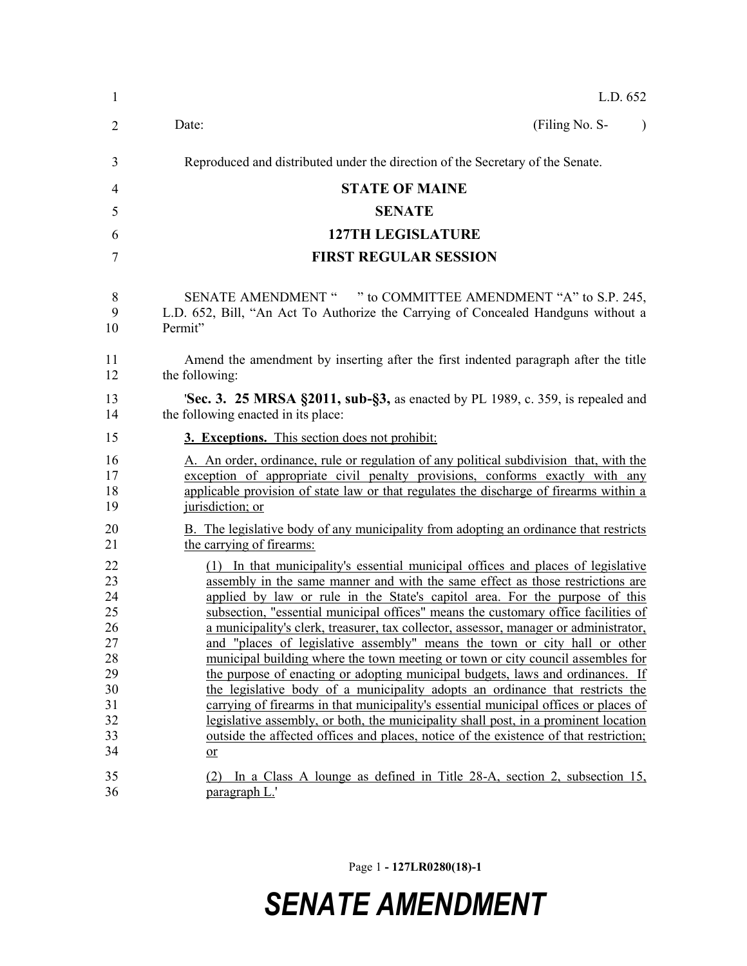| $\mathbf{1}$                                                               | L.D. 652                                                                                                                                                                                                                                                                                                                                                                                                                                                                                                                                                                                                                                                                                                                                                                                                                                                                                                                                                                                                                                            |
|----------------------------------------------------------------------------|-----------------------------------------------------------------------------------------------------------------------------------------------------------------------------------------------------------------------------------------------------------------------------------------------------------------------------------------------------------------------------------------------------------------------------------------------------------------------------------------------------------------------------------------------------------------------------------------------------------------------------------------------------------------------------------------------------------------------------------------------------------------------------------------------------------------------------------------------------------------------------------------------------------------------------------------------------------------------------------------------------------------------------------------------------|
| 2                                                                          | (Filing No. S-<br>Date:<br>$\lambda$                                                                                                                                                                                                                                                                                                                                                                                                                                                                                                                                                                                                                                                                                                                                                                                                                                                                                                                                                                                                                |
| 3                                                                          | Reproduced and distributed under the direction of the Secretary of the Senate.                                                                                                                                                                                                                                                                                                                                                                                                                                                                                                                                                                                                                                                                                                                                                                                                                                                                                                                                                                      |
| 4                                                                          | <b>STATE OF MAINE</b>                                                                                                                                                                                                                                                                                                                                                                                                                                                                                                                                                                                                                                                                                                                                                                                                                                                                                                                                                                                                                               |
| 5                                                                          | <b>SENATE</b>                                                                                                                                                                                                                                                                                                                                                                                                                                                                                                                                                                                                                                                                                                                                                                                                                                                                                                                                                                                                                                       |
| 6                                                                          | <b>127TH LEGISLATURE</b>                                                                                                                                                                                                                                                                                                                                                                                                                                                                                                                                                                                                                                                                                                                                                                                                                                                                                                                                                                                                                            |
| 7                                                                          | <b>FIRST REGULAR SESSION</b>                                                                                                                                                                                                                                                                                                                                                                                                                                                                                                                                                                                                                                                                                                                                                                                                                                                                                                                                                                                                                        |
| 8<br>9<br>10                                                               | SENATE AMENDMENT " " to COMMITTEE AMENDMENT "A" to S.P. 245,<br>L.D. 652, Bill, "An Act To Authorize the Carrying of Concealed Handguns without a<br>Permit"                                                                                                                                                                                                                                                                                                                                                                                                                                                                                                                                                                                                                                                                                                                                                                                                                                                                                        |
| 11<br>12                                                                   | Amend the amendment by inserting after the first indented paragraph after the title<br>the following:                                                                                                                                                                                                                                                                                                                                                                                                                                                                                                                                                                                                                                                                                                                                                                                                                                                                                                                                               |
| 13<br>14                                                                   | <b>Sec. 3. 25 MRSA §2011, sub-§3,</b> as enacted by PL 1989, c. 359, is repealed and<br>the following enacted in its place:                                                                                                                                                                                                                                                                                                                                                                                                                                                                                                                                                                                                                                                                                                                                                                                                                                                                                                                         |
| 15                                                                         | <b>3. Exceptions.</b> This section does not prohibit:                                                                                                                                                                                                                                                                                                                                                                                                                                                                                                                                                                                                                                                                                                                                                                                                                                                                                                                                                                                               |
| 16<br>17<br>18<br>19                                                       | A. An order, ordinance, rule or regulation of any political subdivision that, with the<br>exception of appropriate civil penalty provisions, conforms exactly with any<br>applicable provision of state law or that regulates the discharge of firearms within a<br>jurisdiction; or                                                                                                                                                                                                                                                                                                                                                                                                                                                                                                                                                                                                                                                                                                                                                                |
| 20<br>21                                                                   | B. The legislative body of any municipality from adopting an ordinance that restricts<br>the carrying of firearms:                                                                                                                                                                                                                                                                                                                                                                                                                                                                                                                                                                                                                                                                                                                                                                                                                                                                                                                                  |
| 22<br>23<br>24<br>25<br>26<br>27<br>28<br>29<br>30<br>31<br>32<br>33<br>34 | (1) In that municipality's essential municipal offices and places of legislative<br>assembly in the same manner and with the same effect as those restrictions are<br>applied by law or rule in the State's capitol area. For the purpose of this<br>subsection, "essential municipal offices" means the customary office facilities of<br>a municipality's clerk, treasurer, tax collector, assessor, manager or administrator,<br>and "places of legislative assembly" means the town or city hall or other<br>municipal building where the town meeting or town or city council assembles for<br>the purpose of enacting or adopting municipal budgets, laws and ordinances. If<br>the legislative body of a municipality adopts an ordinance that restricts the<br>carrying of firearms in that municipality's essential municipal offices or places of<br>legislative assembly, or both, the municipality shall post, in a prominent location<br>outside the affected offices and places, notice of the existence of that restriction;<br>$or$ |
| 35<br>36                                                                   | $(2)$ In a Class A lounge as defined in Title 28-A, section 2, subsection 15,<br>paragraph L.'                                                                                                                                                                                                                                                                                                                                                                                                                                                                                                                                                                                                                                                                                                                                                                                                                                                                                                                                                      |

Page 1 **- 127LR0280(18)-1**

## *SENATE AMENDMENT*